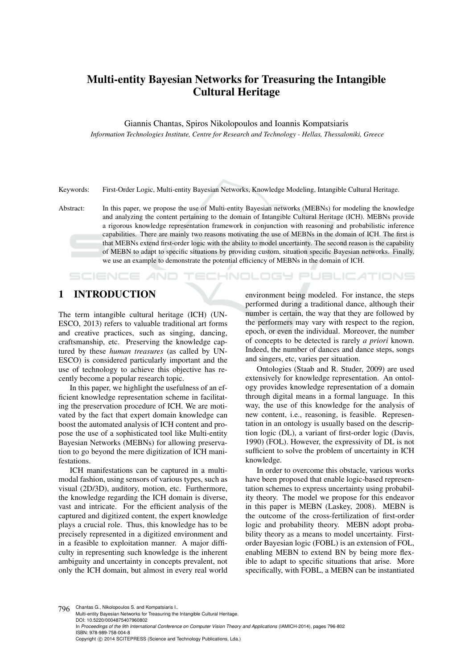# Multi-entity Bayesian Networks for Treasuring the Intangible Cultural Heritage

Giannis Chantas, Spiros Nikolopoulos and Ioannis Kompatsiaris

*Information Technologies Institute, Centre for Research and Technology - Hellas, Thessaloniki, Greece*

Keywords: First-Order Logic, Multi-entity Bayesian Networks, Knowledge Modeling, Intangible Cultural Heritage.

Abstract: In this paper, we propose the use of Multi-entity Bayesian networks (MEBNs) for modeling the knowledge and analyzing the content pertaining to the domain of Intangible Cultural Heritage (ICH). MEBNs provide a rigorous knowledge representation framework in conjunction with reasoning and probabilistic inference capabilities. There are mainly two reasons motivating the use of MEBNs in the domain of ICH. The first is that MEBNs extend first-order logic with the ability to model uncertainty. The second reason is the capability of MEBN to adapt to specific situations by providing custom, situation specific Bayesian networks. Finally, we use an example to demonstrate the potential efficiency of MEBNs in the domain of ICH.

### 1 INTRODUCTION

SCIENCE *A*ND

The term intangible cultural heritage (ICH) (UN-ESCO, 2013) refers to valuable traditional art forms and creative practices, such as singing, dancing, craftsmanship, etc. Preserving the knowledge captured by these *human treasures* (as called by UN-ESCO) is considered particularly important and the use of technology to achieve this objective has recently become a popular research topic.

In this paper, we highlight the usefulness of an efficient knowledge representation scheme in facilitating the preservation procedure of ICH. We are motivated by the fact that expert domain knowledge can boost the automated analysis of ICH content and propose the use of a sophisticated tool like Multi-entity Bayesian Networks (MEBNs) for allowing preservation to go beyond the mere digitization of ICH manifestations.

ICH manifestations can be captured in a multimodal fashion, using sensors of various types, such as visual (2D/3D), auditory, motion, etc. Furthermore, the knowledge regarding the ICH domain is diverse, vast and intricate. For the efficient analysis of the captured and digitized content, the expert knowledge plays a crucial role. Thus, this knowledge has to be precisely represented in a digitized environment and in a feasible to exploitation manner. A major difficulty in representing such knowledge is the inherent ambiguity and uncertainty in concepts prevalent, not only the ICH domain, but almost in every real world

environment being modeled. For instance, the steps performed during a traditional dance, although their number is certain, the way that they are followed by the performers may vary with respect to the region, epoch, or even the individual. Moreover, the number of concepts to be detected is rarely *a priori* known. Indeed, the number of dances and dance steps, songs and singers, etc, varies per situation.

'ECHNOLOGY PUBLICATIONS

Ontologies (Staab and R. Studer, 2009) are used extensively for knowledge representation. An ontology provides knowledge representation of a domain through digital means in a formal language. In this way, the use of this knowledge for the analysis of new content, i.e., reasoning, is feasible. Representation in an ontology is usually based on the description logic (DL), a variant of first-order logic (Davis, 1990) (FOL). However, the expressivity of DL is not sufficient to solve the problem of uncertainty in ICH knowledge.

In order to overcome this obstacle, various works have been proposed that enable logic-based representation schemes to express uncertainty using probability theory. The model we propose for this endeavor in this paper is MEBN (Laskey, 2008). MEBN is the outcome of the cross-fertilization of first-order logic and probability theory. MEBN adopt probability theory as a means to model uncertainty. Firstorder Bayesian logic (FOBL) is an extension of FOL, enabling MEBN to extend BN by being more flexible to adapt to specific situations that arise. More specifically, with FOBL, a MEBN can be instantiated

796 Chantas G., Nikolopoulos S. and Kompatsiaris I..

In *Proceedings of the 9th International Conference on Computer Vision Theory and Applications* (IAMICH-2014), pages 796-802 ISBN: 978-989-758-004-8

Copyright © 2014 SCITEPRESS (Science and Technology Publications, Lda.)

Multi-entity Bayesian Networks for Treasuring the Intangible Cultural Heritage. DOI: 10.5220/0004875407960802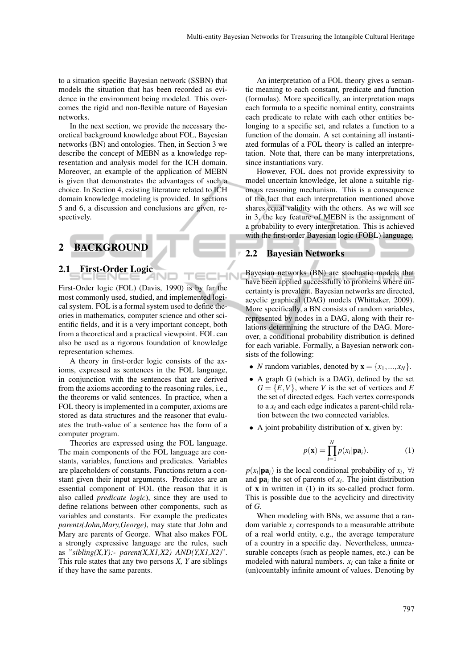to a situation specific Bayesian network (SSBN) that models the situation that has been recorded as evidence in the environment being modeled. This overcomes the rigid and non-flexible nature of Bayesian networks.

In the next section, we provide the necessary theoretical background knowledge about FOL, Bayesian networks (BN) and ontologies. Then, in Section 3 we describe the concept of MEBN as a knowledge representation and analysis model for the ICH domain. Moreover, an example of the application of MEBN is given that demonstrates the advantages of such a choice. In Section 4, existing literature related to ICH domain knowledge modeling is provided. In sections 5 and 6, a discussion and conclusions are given, respectively.

## 2 BACKGROUND

#### 2.1 First-Order Logic

First-Order logic (FOL) (Davis, 1990) is by far the most commonly used, studied, and implemented logical system. FOL is a formal system used to define theories in mathematics, computer science and other scientific fields, and it is a very important concept, both from a theoretical and a practical viewpoint. FOL can also be used as a rigorous foundation of knowledge representation schemes.

A theory in first-order logic consists of the axioms, expressed as sentences in the FOL language, in conjunction with the sentences that are derived from the axioms according to the reasoning rules, i.e., the theorems or valid sentences. In practice, when a FOL theory is implemented in a computer, axioms are stored as data structures and the reasoner that evaluates the truth-value of a sentence has the form of a computer program.

Theories are expressed using the FOL language. The main components of the FOL language are constants, variables, functions and predicates. Variables are placeholders of constants. Functions return a constant given their input arguments. Predicates are an essential component of FOL (the reason that it is also called *predicate logic*), since they are used to define relations between other components, such as variables and constants. For example the predicates *parents(John,Mary,George)*, may state that John and Mary are parents of George. What also makes FOL a strongly expressive language are the rules, such as "*sibling(X,Y):- parent(X,X1,X2) AND(Y,X1,X2)*". This rule states that any two persons *X, Y* are siblings if they have the same parents.

An interpretation of a FOL theory gives a semantic meaning to each constant, predicate and function (formulas). More specifically, an interpretation maps each formula to a specific nominal entity, constraints each predicate to relate with each other entities belonging to a specific set, and relates a function to a function of the domain. A set containing all instantiated formulas of a FOL theory is called an interpretation. Note that, there can be many interpretations, since instantiations vary.

However, FOL does not provide expressivity to model uncertain knowledge, let alone a suitable rigorous reasoning mechanism. This is a consequence of the fact that each interpretation mentioned above shares equal validity with the others. As we will see in 3, the key feature of MEBN is the assignment of a probability to every interpretation. This is achieved with the first-order Bayesian logic (FOBL) language.

#### 2.2 Bayesian Networks

Bayesian networks (BN) are stochastic models that have been applied successfully to problems where uncertainty is prevalent. Bayesian networks are directed, acyclic graphical (DAG) models (Whittaker, 2009). More specifically, a BN consists of random variables, represented by nodes in a DAG, along with their relations determining the structure of the DAG. Moreover, a conditional probability distribution is defined for each variable. Formally, a Bayesian network consists of the following:

- *N* random variables, denoted by  $\mathbf{x} = \{x_1, \ldots, x_N\}$ .
- A graph G (which is a DAG), defined by the set  $G = \{E, V\}$ , where *V* is the set of vertices and *E* the set of directed edges. Each vertex corresponds to a *x<sup>i</sup>* and each edge indicates a parent-child relation between the two connected variables.
- A joint probability distribution of **x**, given by:

$$
p(\mathbf{x}) = \prod_{i=1}^{N} p(x_i | \mathbf{pa}_i).
$$
 (1)

 $p(x_i|\mathbf{pa}_i)$  is the local conditional probability of  $x_i$ ,  $\forall i$ and  $\mathbf{pa}_i$  the set of parents of  $x_i$ . The joint distribution of  $x$  in written in (1) in its so-called product form. This is possible due to the acyclicity and directivity of *G*.

When modeling with BNs, we assume that a random variable  $x_i$  corresponds to a measurable attribute of a real world entity, e.g., the average temperature of a country in a specific day. Nevertheless, unmeasurable concepts (such as people names, etc.) can be modeled with natural numbers.  $x_i$  can take a finite or (un)countably infinite amount of values. Denoting by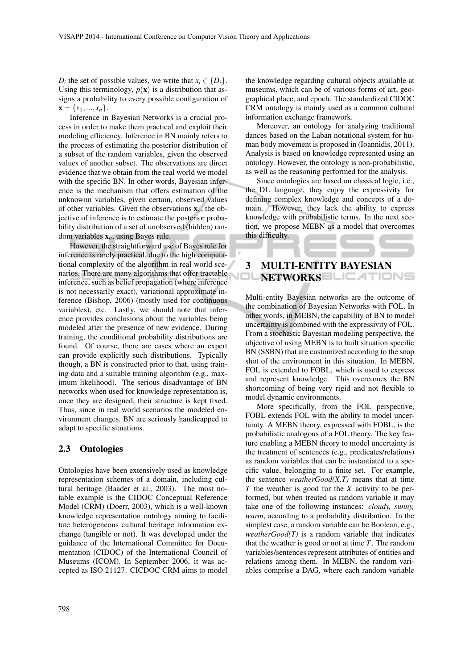*D*<sup>*i*</sup> the set of possible values, we write that  $x_i \in \{D_i\}$ . Using this terminology,  $p(x)$  is a distribution that assigns a probability to every possible configuration of  $\mathbf{x} = \{x_1, ..., x_n\}.$ 

Inference in Bayesian Networks is a crucial process in order to make them practical and exploit their modeling efficiency. Inference in BN mainly refers to the process of estimating the posterior distribution of a subset of the random variables, given the observed values of another subset. The observations are direct evidence that we obtain from the real world we model with the specific BN. In other words, Bayesian inference is the mechanism that offers estimation of the unknownn variables, given certain, observed values of other variables. Given the observations x*o*, the objective of inference is to estimate the posterior probability distribution of a set of unobserved (hidden) random variables x*h*, using Bayes rule.

However, the straightforward use of Bayes rule for inference is rarely practical, due to the high computational complexity of the algorithm in real world scenarios. There are many algorithms that offer tractable inference, such as belief propagation (where inference is not necessarily exact), variational approximate inference (Bishop, 2006) (mostly used for continuous variables), etc. Lastly, we should note that inference provides conclusions about the variables being modeled after the presence of new evidence. During training, the conditional probability distributions are found. Of course, there are cases where an expert can provide explicitly such distributions. Typically though, a BN is constructed prior to that, using training data and a suitable training algorithm (e.g., maximum likelihood). The serious disadvantage of BN networks when used for knowledge representation is, once they are designed, their structure is kept fixed. Thus, since in real world scenarios the modeled environment changes, BN are seriously handicapped to adapt to specific situations.

#### 2.3 Ontologies

Ontologies have been extensively used as knowledge representation schemes of a domain, including cultural heritage (Baader et al., 2003). The most notable example is the CIDOC Conceptual Reference Model (CRM) (Doerr, 2003), which is a well-known knowledge representation ontology aiming to facilitate heterogeneous cultural heritage information exchange (tangible or not). It was developed under the guidance of the International Committee for Documentation (CIDOC) of the International Council of Museums (ICOM). In September 2006, it was accepted as ISO 21127. CICDOC CRM aims to model

the knowledge regarding cultural objects available at museums, which can be of various forms of art, geographical place, and epoch. The standardized CIDOC CRM ontology is mainly used as a common cultural information exchange framework.

Moreover, an ontology for analyzing traditional dances based on the Laban notational system for human body movement is proposed in (Ioannidis, 2011). Analysis is based on knowledge represented using an ontology. However, the ontology is non-probabilistic, as well as the reasoning performed for the analysis.

Since ontologies are based on classical logic, i.e., the DL language, they enjoy the expressivity for defining complex knowledge and concepts of a domain. However, they lack the ability to express knowledge with probabilistic terms. In the next section, we propose MEBN as a model that overcomes this difficulty.

### 3 MULTI-ENTITY BAYESIAN NETWORKS BLIEATIONS

Multi-entity Bayesian networks are the outcome of the combination of Bayesian Networks with FOL. In other words, in MEBN, the capability of BN to model uncertainty is combined with the expressivity of FOL. From a stochastic Bayesian modeling perspective, the objective of using MEBN is to built situation specific BN (SSBN) that are customized according to the snap shot of the environment in this situation. In MEBN, FOL is extended to FOBL, which is used to express and represent knowledge. This overcomes the BN shortcoming of being very rigid and not flexible to model dynamic environments.

More specifically, from the FOL perspective, FOBL extends FOL with the ability to model uncertainty. A MEBN theory, expressed with FOBL, is the probabilistic analogous of a FOL theory. The key feature enabling a MEBN theory to model uncertainty is the treatment of sentences (e.g., predicates/relations) as random variables that can be instantiated to a specific value, belonging to a finite set. For example, the sentence *weatherGood(X,T)* means that at time *T* the weather is good for the *X* activity to be performed, but when treated as random variable it may take one of the following instances: *cloudy, sunny, warm*, according to a probability distribution. In the simplest case, a random variable can be Boolean, e.g., *weatherGood(T)* is a random variable that indicates that the weather is good or not at time *T*. The random variables/sentences represent attributes of entities and relations among them. In MEBN, the random variables comprise a DAG, where each random variable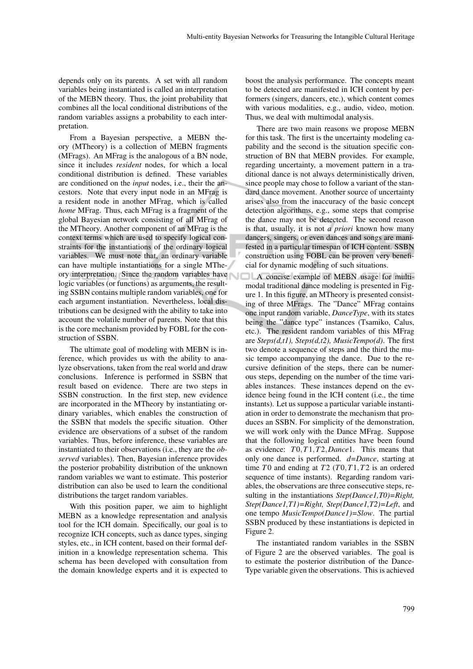depends only on its parents. A set with all random variables being instantiated is called an interpretation of the MEBN theory. Thus, the joint probability that combines all the local conditional distributions of the random variables assigns a probability to each interpretation.

From a Bayesian perspective, a MEBN theory (MTheory) is a collection of MEBN fragments (MFrags). An MFrag is the analogous of a BN node, since it includes *resident* nodes, for which a local conditional distribution is defined. These variables are conditioned on the *input* nodes, i.e., their the ancestors. Note that every input node in an MFrag is a resident node in another MFrag, which is called *home* MFrag. Thus, each MFrag is a fragment of the global Bayesian network consisting of all MFrag of the MTheory. Another component of an MFrag is the context terms which are used to specify logical constraints for the instantiations of the ordinary logical variables. We must note that, an ordinary variable can have multiple instantiations for a single MTheory interpretation. Since the random variables have logic variables (or functions) as arguments, the resulting SSBN contains multiple random variables, one for each argument instantiation. Nevertheless, local distributions can be designed with the ability to take into account the volatile number of parents. Note that this is the core mechanism provided by FOBL for the construction of SSBN.

The ultimate goal of modeling with MEBN is inference, which provides us with the ability to analyze observations, taken from the real world and draw conclusions. Inference is performed in SSBN that result based on evidence. There are two steps in SSBN construction. In the first step, new evidence are incorporated in the MTheory by instantiating ordinary variables, which enables the construction of the SSBN that models the specific situation. Other evidence are observations of a subset of the random variables. Thus, before inference, these variables are instantiated to their observations (i.e., they are the *observed* variables). Then, Bayesian inference provides the posterior probability distribution of the unknown random variables we want to estimate. This posterior distribution can also be used to learn the conditional distributions the target random variables.

With this position paper, we aim to highlight MEBN as a knowledge representation and analysis tool for the ICH domain. Specifically, our goal is to recognize ICH concepts, such as dance types, singing styles, etc., in ICH content, based on their formal definition in a knowledge representation schema. This schema has been developed with consultation from the domain knowledge experts and it is expected to boost the analysis performance. The concepts meant to be detected are manifested in ICH content by performers (singers, dancers, etc.), which content comes with various modalities, e.g., audio, video, motion. Thus, we deal with multimodal analysis.

There are two main reasons we propose MEBN for this task. The first is the uncertainty modeling capability and the second is the situation specific construction of BN that MEBN provides. For example, regarding uncertainty, a movement pattern in a traditional dance is not always deterministically driven, since people may chose to follow a variant of the standard dance movement. Another source of uncertainty arises also from the inaccuracy of the basic concept detection algorithms, e.g., some steps that comprise the dance may not be detected. The second reason is that, usually, it is not *a priori* known how many dancers, singers, or even dances and songs are manifested in a particular timespan of ICH content. SSBN construction using FOBL can be proven very beneficial for dynamic modeling of such situations.

A concise example of MEBN usage for multimodal traditional dance modeling is presented in Figure 1. In this figure, an MTheory is presented consisting of three MFrags. The "Dance" MFrag contains one input random variable, *DanceType*, with its states being the "dance type" instances (Tsamiko, Calus, etc.). The resident random variables of this MFrag are *Steps(d,t1), Steps(d,t2), MusicTempo(d)*. The first two denote a sequence of steps and the third the music tempo accompanying the dance. Due to the recursive definition of the steps, there can be numerous steps, depending on the number of the time variables instances. These instances depend on the evidence being found in the ICH content (i.e., the time instants). Let us suppose a particular variable instantiation in order to demonstrate the mechanism that produces an SSBN. For simplicity of the demonstration, we will work only with the Dance MFrag. Suppose that the following logical entities have been found as evidence: *T*0,*T*1,*T*2,*Dance*1. This means that only one dance is performed. *d=Dance*, starting at time *T*0 and ending at *T*2 (*T*0,*T*1,*T*2 is an ordered sequence of time instants). Regarding random variables, the observations are three consecutive steps, resulting in the instantiations *Step(Dance1,T0)=Right, Step(Dance1,T1)=Right, Step(Dance1,T2)=Left*, and one tempo *MusicTempo(Dance1)=Slow*. The partial SSBN produced by these instantiations is depicted in Figure 2.

The instantiated random variables in the SSBN of Figure 2 are the observed variables. The goal is to estimate the posterior distribution of the Dance-Type variable given the observations. This is achieved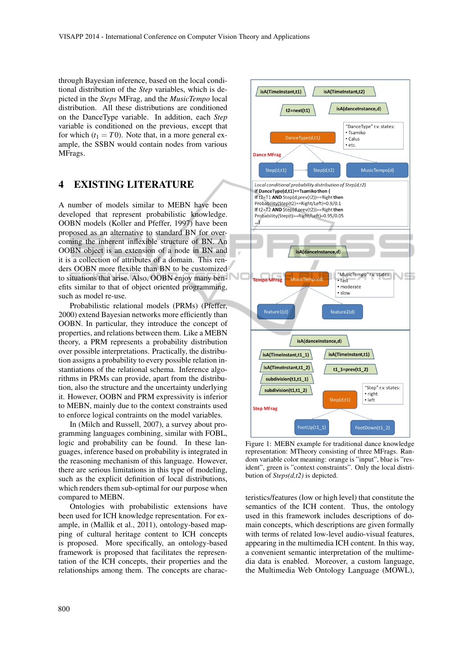through Bayesian inference, based on the local conditional distribution of the *Step* variables, which is depicted in the *Steps* MFrag, and the *MusicTempo* local distribution. All these distributions are conditioned on the DanceType variable. In addition, each *Step* variable is conditioned on the previous, except that for which  $(t_1 = T0)$ . Note that, in a more general example, the SSBN would contain nodes from various MFrags.

### 4 EXISTING LITERATURE

A number of models similar to MEBN have been developed that represent probabilistic knowledge. OOBN models (Koller and Pfeffer, 1997) have been proposed as an alternative to standard BN for overcoming the inherent inflexible structure of BN. An OOBN object is an extension of a node in BN and it is a collection of attributes of a domain. This renders OOBN more flexible than BN to be customized to situations that arise. Also, OOBN enjoy many benefits similar to that of object oriented programming, such as model re-use.

Probabilistic relational models (PRMs) (Pfeffer, 2000) extend Bayesian networks more efficiently than OOBN. In particular, they introduce the concept of properties, and relations between them. Like a MEBN theory, a PRM represents a probability distribution over possible interpretations. Practically, the distribution assigns a probability to every possible relation instantiations of the relational schema. Inference algorithms in PRMs can provide, apart from the distribution, also the structure and the uncertainty underlying it. However, OOBN and PRM expressivity is inferior to MEBN, mainly due to the context constraints used to enforce logical contraints on the model variables.

In (Milch and Russell, 2007), a survey about programming languages combining, similar with FOBL, logic and probability can be found. In these languages, inference based on probability is integrated in the reasoning mechanism of this language. However, there are serious limitations in this type of modeling, such as the explicit definition of local distributions, which renders them sub-optimal for our purpose when compared to MEBN.

Ontologies with probabilistic extensions have been used for ICH knowledge representation. For example, in (Mallik et al., 2011), ontology-based mapping of cultural heritage content to ICH concepts is proposed. More specifically, an ontology-based framework is proposed that facilitates the representation of the ICH concepts, their properties and the relationships among them. The concepts are charac-



Figure 1: MEBN example for traditional dance knowledge representation: MTheory consisting of three MFrags. Random variable color meaning: orange is "input", blue is "resident", green is "context constraints". Only the local distribution of *Steps(d,t2)* is depicted.

teristics/features (low or high level) that constitute the semantics of the ICH content. Thus, the ontology used in this framework includes descriptions of domain concepts, which descriptions are given formally with terms of related low-level audio-visual features, appearing in the multimedia ICH content. In this way, a convenient semantic interpretation of the multimedia data is enabled. Moreover, a custom language, the Multimedia Web Ontology Language (MOWL),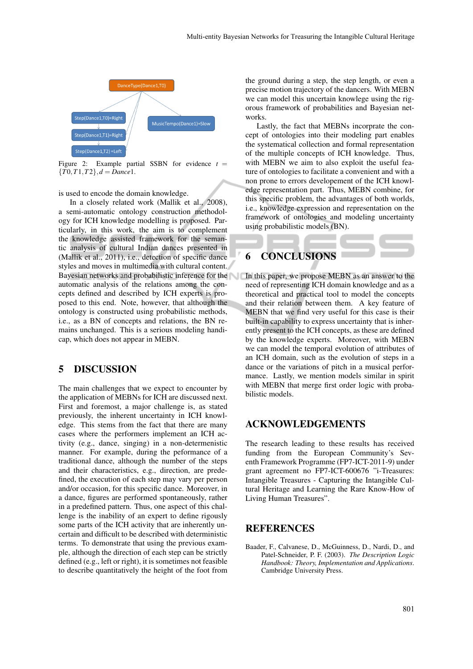

Figure 2: Example partial SSBN for evidence  $t =$ {*T*0,*T*1,*T*2},*d* = *Dance*1.

is used to encode the domain knowledge.

In a closely related work (Mallik et al., 2008), a semi-automatic ontology construction methodology for ICH knowledge modelling is proposed. Particularly, in this work, the aim is to complement the knowledge assisted framework for the semantic analysis of cultural Indian dances presented in (Mallik et al., 2011), i.e., detection of specific dance styles and moves in multimedia with cultural content. Bayesian networks and probabilistic inference for the automatic analysis of the relations among the concepts defined and described by ICH experts is proposed to this end. Note, however, that although the ontology is constructed using probabilistic methods, i.e., as a BN of concepts and relations, the BN remains unchanged. This is a serious modeling handicap, which does not appear in MEBN.

#### 5 DISCUSSION

The main challenges that we expect to encounter by the application of MEBNs for ICH are discussed next. First and foremost, a major challenge is, as stated previously, the inherent uncertainty in ICH knowledge. This stems from the fact that there are many cases where the performers implement an ICH activity (e.g., dance, singing) in a non-determenistic manner. For example, during the peformance of a traditional dance, although the number of the steps and their characteristics, e.g., direction, are predefined, the execution of each step may vary per person and/or occasion, for this specific dance. Moreover, in a dance, figures are performed spontaneously, rather in a predefined pattern. Thus, one aspect of this challenge is the inability of an expert to define rigously some parts of the ICH activity that are inherently uncertain and difficult to be described with deterministic terms. To demonstrate that using the previous example, although the direction of each step can be strictly defined (e.g., left or right), it is sometimes not feasible to describe quantitatively the height of the foot from

the ground during a step, the step length, or even a precise motion trajectory of the dancers. With MEBN we can model this uncertain knowlege using the rigorous framework of probabilities and Bayesian networks.

Lastly, the fact that MEBNs incorprate the concept of ontologies into their modeling part enables the systematical collection and formal representation of the multiple concepts of ICH knowledge. Thus, with MEBN we aim to also exploit the useful feature of ontologies to facilitate a convenient and with a non prone to errors developement of the ICH knowledge representation part. Thus, MEBN combine, for this specific problem, the advantages of both worlds, i.e., knowledge expression and representation on the framework of ontologies and modeling uncertainty using probabilistic models (BN).

## **CONCLUSIONS**

In this paper, we propose MEBN as an answer to the need of representing ICH domain knowledge and as a theoretical and practical tool to model the concepts and their relation between them. A key feature of MEBN that we find very useful for this case is their built-in capability to express uncertainty that is inherently present to the ICH concepts, as these are defined by the knowledge experts. Moreover, with MEBN we can model the temporal evolution of attributes of an ICH domain, such as the evolution of steps in a dance or the variations of pitch in a musical performance. Lastly, we mention models similar in spirit with MEBN that merge first order logic with probabilistic models.

#### ACKNOWLEDGEMENTS

The research leading to these results has received funding from the European Community's Seventh Framework Programme (FP7-ICT-2011-9) under grant agreement no FP7-ICT-600676 "i-Treasures: Intangible Treasures - Capturing the Intangible Cultural Heritage and Learning the Rare Know-How of Living Human Treasures".

#### REFERENCES

Baader, F., Calvanese, D., McGuinness, D., Nardi, D., and Patel-Schneider, P. F. (2003). *The Description Logic Handbook: Theory, Implementation and Applications*. Cambridge University Press.